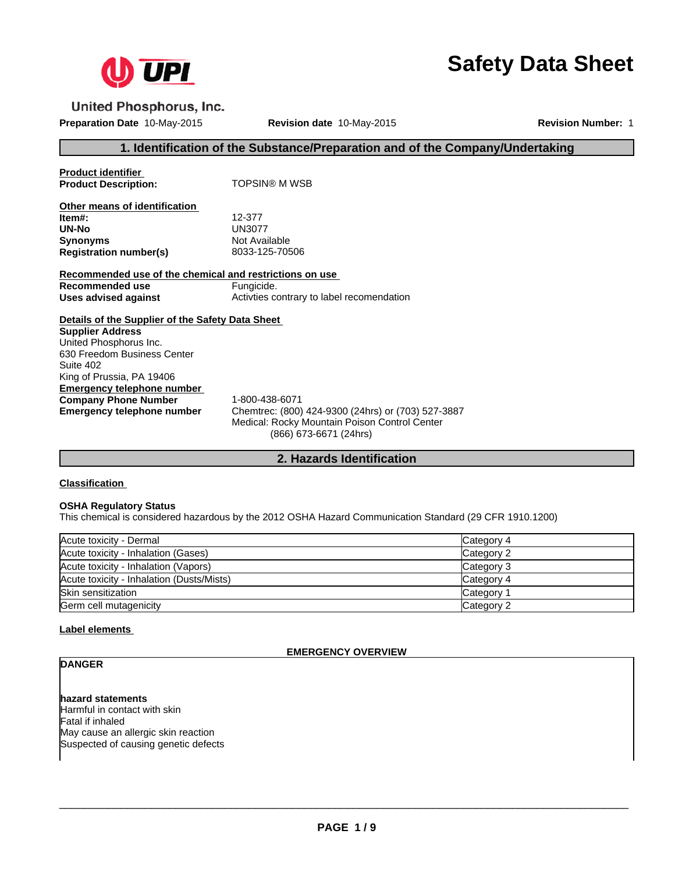

# **Safety Data Sheet**

**United Phosphorus, Inc.** 

**Preparation Date** 10-May-2015 **Revision date** 10-May-2015 **Revision Number:** 1

# **1. Identification of the Substance/Preparation and of the Company/Undertaking**

**Product identifier Product Description:** TOPSIN® M WSB

**Other means of identification Item#:** 12-377 **UN-No** UN3077 **Synonyms**<br> **Registration number(s)**<br>  $\frac{1}{2}$  
2033-125-70506 **Registration number(s)** 

**Recommended use of the chemical and restrictions on use Recommended use** Fungicide.<br> **Uses advised against** Activities commended against Activties contrary to label recomendation

**Details of the Supplier of the Safety Data Sheet Emergency telephone number**<br>**Company Phone Number** 1-800-438-6071 **Company Phone Number<br>Emergency telephone number Supplier Address** United Phosphorus Inc. 630 Freedom Business Center Suite 402 King of Prussia, PA 19406

**Emergency telephone number** Chemtrec: (800) 424-9300 (24hrs) or (703) 527-3887 Medical: Rocky Mountain Poison Control Center (866) 673-6671 (24hrs)

# **2. Hazards Identification**

## **Classification**

## **OSHA Regulatory Status**

This chemical is considered hazardous by the 2012 OSHA Hazard Communication Standard (29 CFR 1910.1200)

| Acute toxicity - Dermal                   | Category 4 |
|-------------------------------------------|------------|
|                                           |            |
| Acute toxicity - Inhalation (Gases)       | Category 2 |
| Acute toxicity - Inhalation (Vapors)      | Category 3 |
| Acute toxicity - Inhalation (Dusts/Mists) | Category 4 |
| <b>Skin sensitization</b>                 | Category 1 |
| Germ cell mutagenicity                    | Category 2 |

## **Label elements**

# **EMERGENCY OVERVIEW**

# **DANGER**

**hazard statements** Harmful in contact with skin Fatal if inhaled May cause an allergic skin reaction Suspected of causing genetic defects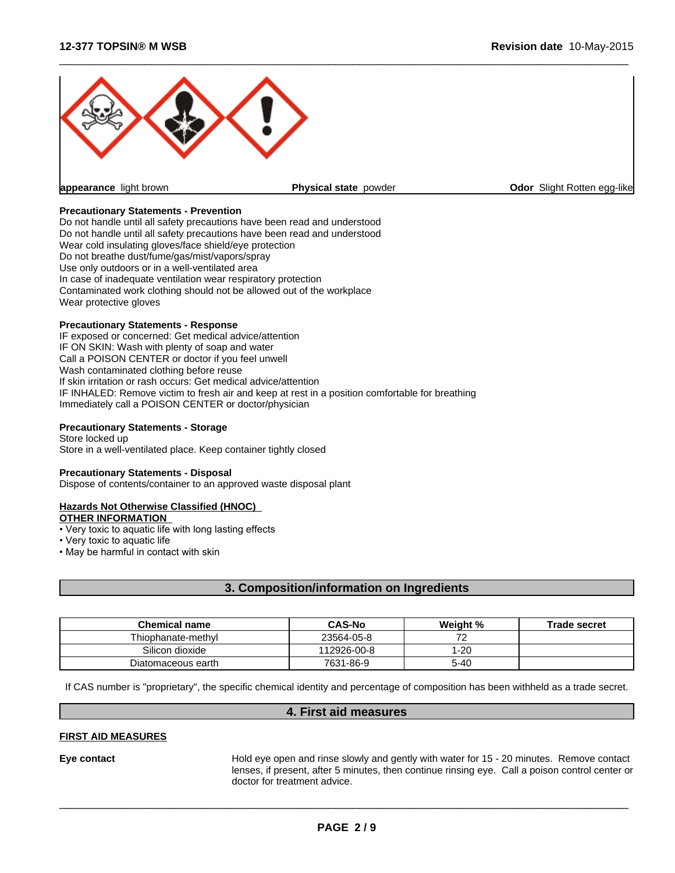

 $\overline{\phantom{a}}$  ,  $\overline{\phantom{a}}$  ,  $\overline{\phantom{a}}$  ,  $\overline{\phantom{a}}$  ,  $\overline{\phantom{a}}$  ,  $\overline{\phantom{a}}$  ,  $\overline{\phantom{a}}$  ,  $\overline{\phantom{a}}$  ,  $\overline{\phantom{a}}$  ,  $\overline{\phantom{a}}$  ,  $\overline{\phantom{a}}$  ,  $\overline{\phantom{a}}$  ,  $\overline{\phantom{a}}$  ,  $\overline{\phantom{a}}$  ,  $\overline{\phantom{a}}$  ,  $\overline{\phantom{a}}$ 

#### **Precautionary Statements - Prevention**

Do not handle until all safety precautions have been read and understood Do not handle until all safety precautions have been read and understood Wear cold insulating gloves/face shield/eye protection Do not breathe dust/fume/gas/mist/vapors/spray Use only outdoors or in a well-ventilated area In case of inadequate ventilation wear respiratory protection Contaminated work clothing should not be allowed out of the workplace Wear protective gloves

#### **Precautionary Statements - Response**

IF exposed or concerned: Get medical advice/attention IF ON SKIN: Wash with plenty of soap and water Call a POISON CENTER or doctor if you feel unwell Wash contaminated clothing before reuse If skin irritation or rash occurs: Get medical advice/attention IF INHALED: Remove victim to fresh air and keep at rest in a position comfortable for breathing Immediately call a POISON CENTER or doctor/physician

#### **Precautionary Statements - Storage**

Store locked up Store in a well-ventilated place. Keep container tightly closed

#### **Precautionary Statements - Disposal**

Dispose of contents/container to an approved waste disposal plant

## **Hazards Not Otherwise Classified (HNOC)**

**OTHER INFORMATION** 

- Very toxic to aquatic life with long lasting effects
- Very toxic to aquatic life
- May be harmful in contact with skin

# **3. Composition/information on Ingredients**

| <b>Chemical name</b> | <b>CAS-No</b> | Weight % | <b>Trade secret</b> |
|----------------------|---------------|----------|---------------------|
| Thiophanate-methyl   | 23564-05-8    |          |                     |
| Silicon dioxide      | 112926-00-8   | -20      |                     |
| Diatomaceous earth   | 7631-86-9     | 5-40     |                     |

If CAS number is "proprietary", the specific chemical identity and percentage of composition has been withheld as a trade secret.

# **4. First aid measures**

#### **FIRST AID MEASURES**

**Eye contact** Hold eye open and rinse slowly and gently with water for 15 - 20 minutes. Remove contact lenses, if present, after 5 minutes, then continue rinsing eye. Call a poison control center or doctor for treatment advice.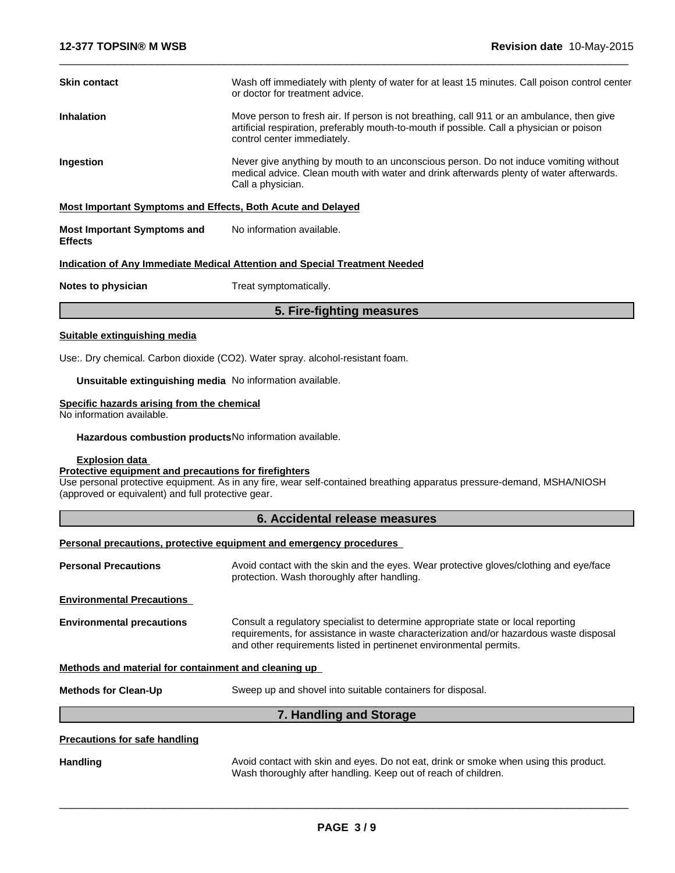| <b>Skin contact</b>                                                | Wash off immediately with plenty of water for at least 15 minutes. Call poison control center<br>or doctor for treatment advice.                                                                                      |
|--------------------------------------------------------------------|-----------------------------------------------------------------------------------------------------------------------------------------------------------------------------------------------------------------------|
| <b>Inhalation</b>                                                  | Move person to fresh air. If person is not breathing, call 911 or an ambulance, then give<br>artificial respiration, preferably mouth-to-mouth if possible. Call a physician or poison<br>control center immediately. |
| Ingestion                                                          | Never give anything by mouth to an unconscious person. Do not induce vomiting without<br>medical advice. Clean mouth with water and drink afterwards plenty of water afterwards.<br>Call a physician.                 |
| <b>Most Important Symptoms and Effects, Both Acute and Delayed</b> |                                                                                                                                                                                                                       |
| Most Important Symptoms and<br><b>Effects</b>                      | No information available.                                                                                                                                                                                             |
|                                                                    | Indication of Any Immediate Medical Attention and Special Treatment Needed                                                                                                                                            |
| Notes to physician                                                 | Treat symptomatically.                                                                                                                                                                                                |

 $\overline{\phantom{a}}$  ,  $\overline{\phantom{a}}$  ,  $\overline{\phantom{a}}$  ,  $\overline{\phantom{a}}$  ,  $\overline{\phantom{a}}$  ,  $\overline{\phantom{a}}$  ,  $\overline{\phantom{a}}$  ,  $\overline{\phantom{a}}$  ,  $\overline{\phantom{a}}$  ,  $\overline{\phantom{a}}$  ,  $\overline{\phantom{a}}$  ,  $\overline{\phantom{a}}$  ,  $\overline{\phantom{a}}$  ,  $\overline{\phantom{a}}$  ,  $\overline{\phantom{a}}$  ,  $\overline{\phantom{a}}$ 

# **5. Fire-fighting measures**

## **Suitable extinguishing media**

Use:. Dry chemical. Carbon dioxide (CO2). Water spray. alcohol-resistant foam.

**Unsuitable extinguishing media** No information available.

## **Specific hazards arising from the chemical**

No information available.

**Hazardous combustion products**No information available.

## **Explosion data**

## **Protective equipment and precautions for firefighters**

Use personal protective equipment. As in any fire, wear self-contained breathing apparatus pressure-demand, MSHA/NIOSH (approved or equivalent) and full protective gear.

# **6. Accidental release measures**

**Personal precautions, protective equipment and emergency procedures** 

| <b>Personal Precautions</b><br>Avoid contact with the skin and the eyes. Wear protective gloves/clothing and eye/face<br>protection. Wash thoroughly after handling. |                                                                                                                                                                                                                                                   |  |
|----------------------------------------------------------------------------------------------------------------------------------------------------------------------|---------------------------------------------------------------------------------------------------------------------------------------------------------------------------------------------------------------------------------------------------|--|
| <b>Environmental Precautions</b>                                                                                                                                     |                                                                                                                                                                                                                                                   |  |
| <b>Environmental precautions</b>                                                                                                                                     | Consult a regulatory specialist to determine appropriate state or local reporting<br>requirements, for assistance in waste characterization and/or hazardous waste disposal<br>and other requirements listed in pertinenet environmental permits. |  |
| Methods and material for containment and cleaning up                                                                                                                 |                                                                                                                                                                                                                                                   |  |
| <b>Methods for Clean-Up</b>                                                                                                                                          | Sweep up and shovel into suitable containers for disposal.                                                                                                                                                                                        |  |
|                                                                                                                                                                      | 7. Handling and Storage                                                                                                                                                                                                                           |  |
| <b>Precautions for safe handling</b>                                                                                                                                 |                                                                                                                                                                                                                                                   |  |
| <b>Handling</b>                                                                                                                                                      | Avoid contact with skin and eyes. Do not eat, drink or smoke when using this product.<br>Wash thoroughly after handling. Keep out of reach of children.                                                                                           |  |
|                                                                                                                                                                      |                                                                                                                                                                                                                                                   |  |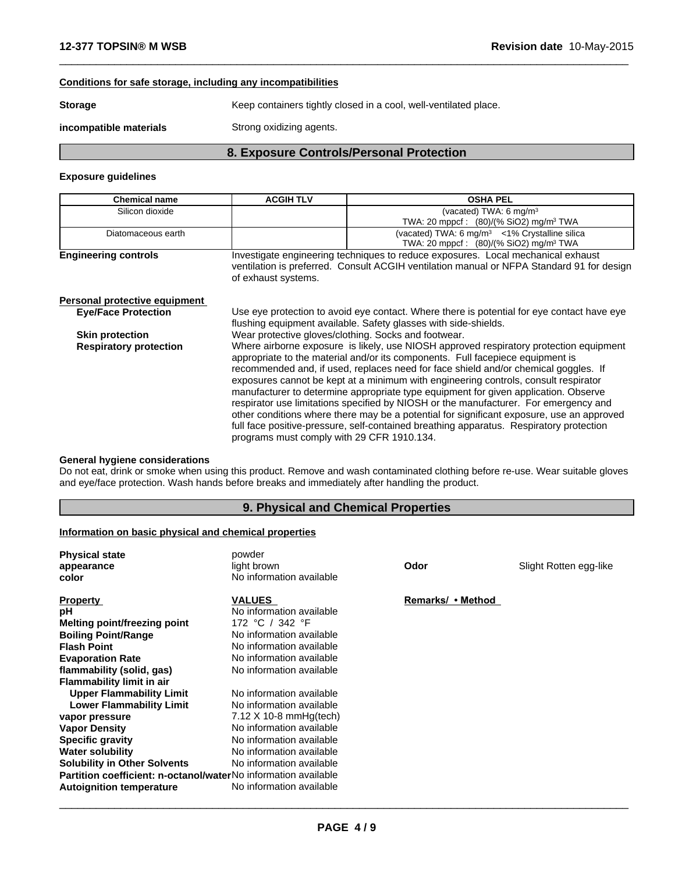## **Conditions for safe storage, including any incompatibilities**

**Storage** Keep containers tightly closed in a cool, well-ventilated place.

**incompatible materials** Strong oxidizing agents.

# **8. Exposure Controls/Personal Protection**

 $\overline{\phantom{a}}$  ,  $\overline{\phantom{a}}$  ,  $\overline{\phantom{a}}$  ,  $\overline{\phantom{a}}$  ,  $\overline{\phantom{a}}$  ,  $\overline{\phantom{a}}$  ,  $\overline{\phantom{a}}$  ,  $\overline{\phantom{a}}$  ,  $\overline{\phantom{a}}$  ,  $\overline{\phantom{a}}$  ,  $\overline{\phantom{a}}$  ,  $\overline{\phantom{a}}$  ,  $\overline{\phantom{a}}$  ,  $\overline{\phantom{a}}$  ,  $\overline{\phantom{a}}$  ,  $\overline{\phantom{a}}$ 

## **Exposure guidelines**

| <b>Chemical name</b>          | <b>ACGIH TLV</b>                                                                                                                                                                                     | <b>OSHA PEL</b>                                                                                                                                                                                                                                                                                                                                                                                                                                                                                                                                                                                                                                                                                                               |  |
|-------------------------------|------------------------------------------------------------------------------------------------------------------------------------------------------------------------------------------------------|-------------------------------------------------------------------------------------------------------------------------------------------------------------------------------------------------------------------------------------------------------------------------------------------------------------------------------------------------------------------------------------------------------------------------------------------------------------------------------------------------------------------------------------------------------------------------------------------------------------------------------------------------------------------------------------------------------------------------------|--|
| Silicon dioxide               |                                                                                                                                                                                                      | (vacated) TWA: $6 \text{ mg/m}^3$                                                                                                                                                                                                                                                                                                                                                                                                                                                                                                                                                                                                                                                                                             |  |
|                               |                                                                                                                                                                                                      | TWA: 20 mppcf: $(80)/(% SiO2)$ mg/m <sup>3</sup> TWA                                                                                                                                                                                                                                                                                                                                                                                                                                                                                                                                                                                                                                                                          |  |
| Diatomaceous earth            |                                                                                                                                                                                                      | (vacated) TWA: $6 \text{ mg/m}^3$ < 1% Crystalline silica                                                                                                                                                                                                                                                                                                                                                                                                                                                                                                                                                                                                                                                                     |  |
|                               |                                                                                                                                                                                                      | TWA: 20 mppcf: (80)/(% SiO2) mg/m <sup>3</sup> TWA                                                                                                                                                                                                                                                                                                                                                                                                                                                                                                                                                                                                                                                                            |  |
| <b>Engineering controls</b>   | Investigate engineering techniques to reduce exposures. Local mechanical exhaust<br>ventilation is preferred. Consult ACGIH ventilation manual or NFPA Standard 91 for design<br>of exhaust systems. |                                                                                                                                                                                                                                                                                                                                                                                                                                                                                                                                                                                                                                                                                                                               |  |
| Personal protective equipment |                                                                                                                                                                                                      |                                                                                                                                                                                                                                                                                                                                                                                                                                                                                                                                                                                                                                                                                                                               |  |
| <b>Eye/Face Protection</b>    |                                                                                                                                                                                                      | Use eye protection to avoid eye contact. Where there is potential for eye contact have eye                                                                                                                                                                                                                                                                                                                                                                                                                                                                                                                                                                                                                                    |  |
|                               |                                                                                                                                                                                                      | flushing equipment available. Safety glasses with side-shields.                                                                                                                                                                                                                                                                                                                                                                                                                                                                                                                                                                                                                                                               |  |
| <b>Skin protection</b>        |                                                                                                                                                                                                      | Wear protective gloves/clothing. Socks and footwear.                                                                                                                                                                                                                                                                                                                                                                                                                                                                                                                                                                                                                                                                          |  |
| <b>Respiratory protection</b> | programs must comply with 29 CFR 1910.134.                                                                                                                                                           | Where airborne exposure is likely, use NIOSH approved respiratory protection equipment<br>appropriate to the material and/or its components. Full facepiece equipment is<br>recommended and, if used, replaces need for face shield and/or chemical goggles. If<br>exposures cannot be kept at a minimum with engineering controls, consult respirator<br>manufacturer to determine appropriate type equipment for given application. Observe<br>respirator use limitations specified by NIOSH or the manufacturer. For emergency and<br>other conditions where there may be a potential for significant exposure, use an approved<br>full face positive-pressure, self-contained breathing apparatus. Respiratory protection |  |

# **General hygiene considerations**

Do not eat, drink or smoke when using this product. Remove and wash contaminated clothing before re-use. Wear suitable gloves and eye/face protection. Wash hands before breaks and immediately after handling the product.

# **9. Physical and Chemical Properties**

#### **Information on basic physical and chemical properties**

| <b>Physical state</b>                                                 | powder                        |                   |                        |
|-----------------------------------------------------------------------|-------------------------------|-------------------|------------------------|
| appearance                                                            | light brown                   | Odor              | Slight Rotten egg-like |
| color                                                                 | No information available      |                   |                        |
| <b>Property</b>                                                       | <b>VALUES</b>                 | Remarks/ • Method |                        |
| рH                                                                    | No information available      |                   |                        |
| Melting point/freezing point                                          | 172 °C / 342 °F               |                   |                        |
| <b>Boiling Point/Range</b>                                            | No information available      |                   |                        |
| <b>Flash Point</b>                                                    | No information available      |                   |                        |
| <b>Evaporation Rate</b>                                               | No information available      |                   |                        |
| flammability (solid, gas)                                             | No information available      |                   |                        |
| <b>Flammability limit in air</b>                                      |                               |                   |                        |
| <b>Upper Flammability Limit</b>                                       | No information available      |                   |                        |
| <b>Lower Flammability Limit</b>                                       | No information available      |                   |                        |
| vapor pressure                                                        | $7.12 \times 10-8$ mmHg(tech) |                   |                        |
| <b>Vapor Density</b>                                                  | No information available      |                   |                        |
| <b>Specific gravity</b>                                               | No information available      |                   |                        |
| <b>Water solubility</b>                                               | No information available      |                   |                        |
| <b>Solubility in Other Solvents</b>                                   | No information available      |                   |                        |
| <b>Partition coefficient: n-octanol/waterNo information available</b> |                               |                   |                        |
| <b>Autoignition temperature</b>                                       | No information available      |                   |                        |
|                                                                       |                               |                   |                        |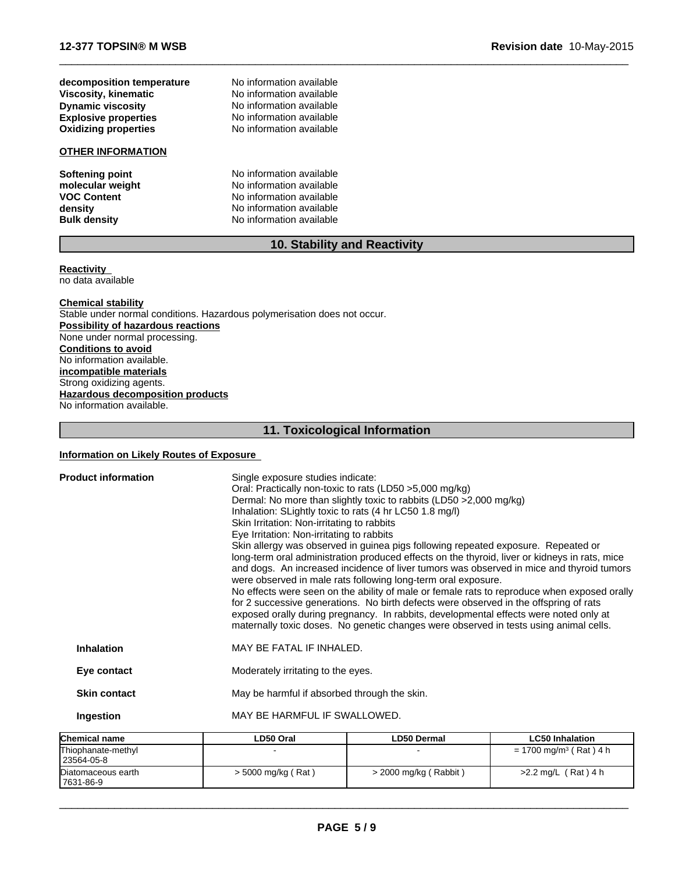| decomposition temperature   | No information available |
|-----------------------------|--------------------------|
| Viscosity, kinematic        | No information available |
| <b>Dynamic viscosity</b>    | No information available |
| <b>Explosive properties</b> | No information available |
| <b>Oxidizing properties</b> | No information available |
| <b>OTHER INFORMATION</b>    |                          |
| Softening point             | No information available |
| molecular weight            | No information available |
| <b>VOC Content</b>          | No information available |
| density                     | No information available |
| <b>Bulk density</b>         | No information available |

# **10. Stability and Reactivity**

 $\overline{\phantom{a}}$  ,  $\overline{\phantom{a}}$  ,  $\overline{\phantom{a}}$  ,  $\overline{\phantom{a}}$  ,  $\overline{\phantom{a}}$  ,  $\overline{\phantom{a}}$  ,  $\overline{\phantom{a}}$  ,  $\overline{\phantom{a}}$  ,  $\overline{\phantom{a}}$  ,  $\overline{\phantom{a}}$  ,  $\overline{\phantom{a}}$  ,  $\overline{\phantom{a}}$  ,  $\overline{\phantom{a}}$  ,  $\overline{\phantom{a}}$  ,  $\overline{\phantom{a}}$  ,  $\overline{\phantom{a}}$ 

#### **Reactivity**  no data available

**Chemical stability** Stable under normal conditions. Hazardous polymerisation does not occur. **Possibility of hazardous reactions** None under normal processing. **Conditions to avoid** No information available. **incompatible materials** Strong oxidizing agents. **Hazardous decomposition products** No information available.

# **11. Toxicological Information**

# **Information on Likely Routes of Exposure**

| <b>Product information</b> |                     | Single exposure studies indicate:<br>Oral: Practically non-toxic to rats (LD50 > 5,000 mg/kg)<br>Dermal: No more than slightly toxic to rabbits (LD50 > 2,000 mg/kg)<br>Inhalation: SLightly toxic to rats (4 hr LC50 1.8 mg/l)<br>Skin Irritation: Non-irritating to rabbits<br>Eye Irritation: Non-irritating to rabbits<br>Skin allergy was observed in guinea pigs following repeated exposure. Repeated or<br>long-term oral administration produced effects on the thyroid, liver or kidneys in rats, mice<br>and dogs. An increased incidence of liver tumors was observed in mice and thyroid tumors<br>were observed in male rats following long-term oral exposure.<br>No effects were seen on the ability of male or female rats to reproduce when exposed orally<br>for 2 successive generations. No birth defects were observed in the offspring of rats<br>exposed orally during pregnancy. In rabbits, developmental effects were noted only at<br>maternally toxic doses. No genetic changes were observed in tests using animal cells. |
|----------------------------|---------------------|---------------------------------------------------------------------------------------------------------------------------------------------------------------------------------------------------------------------------------------------------------------------------------------------------------------------------------------------------------------------------------------------------------------------------------------------------------------------------------------------------------------------------------------------------------------------------------------------------------------------------------------------------------------------------------------------------------------------------------------------------------------------------------------------------------------------------------------------------------------------------------------------------------------------------------------------------------------------------------------------------------------------------------------------------------|
|                            | <b>Inhalation</b>   | MAY BE FATAL IF INHALED.                                                                                                                                                                                                                                                                                                                                                                                                                                                                                                                                                                                                                                                                                                                                                                                                                                                                                                                                                                                                                                |
|                            | Eye contact         | Moderately irritating to the eyes.                                                                                                                                                                                                                                                                                                                                                                                                                                                                                                                                                                                                                                                                                                                                                                                                                                                                                                                                                                                                                      |
|                            | <b>Skin contact</b> | May be harmful if absorbed through the skin.                                                                                                                                                                                                                                                                                                                                                                                                                                                                                                                                                                                                                                                                                                                                                                                                                                                                                                                                                                                                            |
|                            | Ingestion           | MAY BE HARMFUL IF SWALLOWED.                                                                                                                                                                                                                                                                                                                                                                                                                                                                                                                                                                                                                                                                                                                                                                                                                                                                                                                                                                                                                            |
|                            |                     |                                                                                                                                                                                                                                                                                                                                                                                                                                                                                                                                                                                                                                                                                                                                                                                                                                                                                                                                                                                                                                                         |

| <b>Chemical name</b>               | LD50 Oral            | LD50 Dermal             | <b>LC50 Inhalation</b>               |
|------------------------------------|----------------------|-------------------------|--------------------------------------|
| Thiophanate-methyl<br>! 23564-05-8 |                      |                         | $= 1700$ mg/m <sup>3</sup> (Rat) 4 h |
| Diatomaceous earth<br>7631-86-9    | > 5000 mg/kg ( Rat ) | $>$ 2000 mg/kg (Rabbit) | >2.2 mg/L (Rat)4 h                   |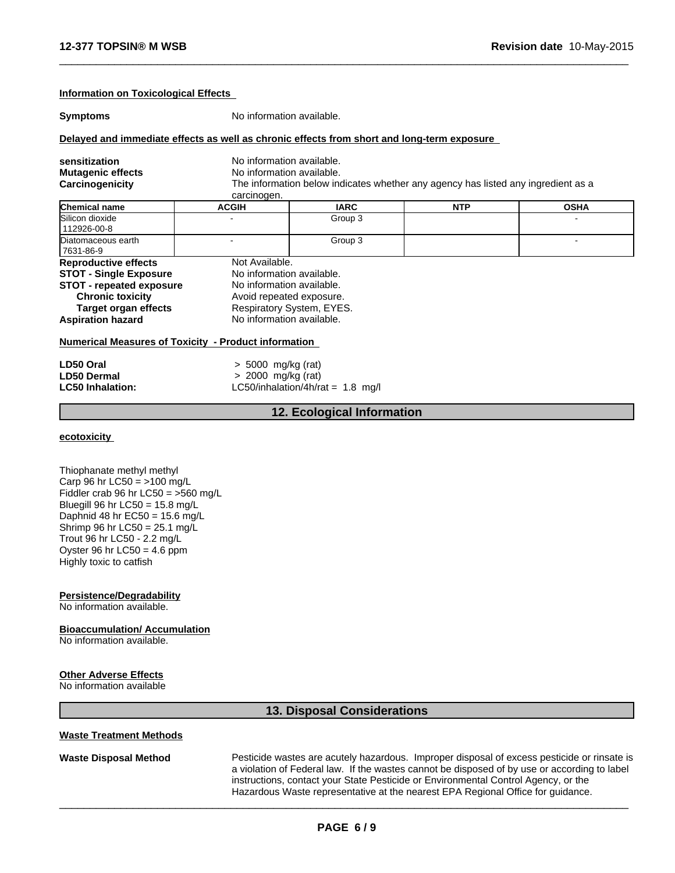#### **Information on Toxicological Effects**

**Symptoms** No information available.

#### **Delayed and immediate effects as well as chronic effects from short and long-term exposure**

|                          | carcinogen.                                                                       |                           |  |  |  |
|--------------------------|-----------------------------------------------------------------------------------|---------------------------|--|--|--|
| Carcinogenicity          | The information below indicates whether any agency has listed any ingredient as a |                           |  |  |  |
| <b>Mutagenic effects</b> |                                                                                   | No information available. |  |  |  |
| sensitization            | No information available.                                                         |                           |  |  |  |

 $\overline{\phantom{a}}$  ,  $\overline{\phantom{a}}$  ,  $\overline{\phantom{a}}$  ,  $\overline{\phantom{a}}$  ,  $\overline{\phantom{a}}$  ,  $\overline{\phantom{a}}$  ,  $\overline{\phantom{a}}$  ,  $\overline{\phantom{a}}$  ,  $\overline{\phantom{a}}$  ,  $\overline{\phantom{a}}$  ,  $\overline{\phantom{a}}$  ,  $\overline{\phantom{a}}$  ,  $\overline{\phantom{a}}$  ,  $\overline{\phantom{a}}$  ,  $\overline{\phantom{a}}$  ,  $\overline{\phantom{a}}$ 

| <b>Chemical name</b>            | <b>ACGIH</b>              | <b>IARC</b>             | <b>NTP</b> | <b>OSHA</b> |
|---------------------------------|---------------------------|-------------------------|------------|-------------|
| Silicon dioxide                 |                           | Group 3                 |            |             |
| 112926-00-8                     |                           |                         |            |             |
| Diatomaceous earth              |                           | Group 3                 |            |             |
| 17631-86-9                      |                           |                         |            |             |
| <b>Reproductive effects</b>     | Not Available.            |                         |            |             |
| <b>STOT - Single Exposure</b>   | No information available. |                         |            |             |
| <b>STOT - repeated exposure</b> | No information available. |                         |            |             |
| <b>Chronic toxicity</b>         | Avoid repeated exposure.  |                         |            |             |
| Taxaal ayaan allaata            |                           | Department Cuntain EVEC |            |             |

**Target organ effects** Respiratory System, EYES.

**Aspiration hazard** No information available.

#### **Numerical Measures of Toxicity - Product information**

| LD50 Oral               | > 5000 mg/kg (rat)                          |
|-------------------------|---------------------------------------------|
| <b>LD50 Dermal</b>      | > 2000 mg/kg (rat)                          |
| <b>LC50 Inhalation:</b> | LC50/inhalation/4h/rat = $1.8 \text{ mg/l}$ |

# **12. Ecological Information**

#### **ecotoxicity**

Thiophanate methyl methyl Carp 96 hr  $LC50 = 100$  mg/L Fiddler crab 96 hr  $LC50 = 560$  mg/L Bluegill 96 hr LC50 = 15.8 mg/L Daphnid 48 hr  $EC50 = 15.6$  mg/L Shrimp 96 hr LC50 =  $25.1 \text{ mg/L}$ Trout 96 hr LC50 - 2.2 mg/L Oyster 96 hr  $LC50 = 4.6$  ppm Highly toxic to catfish

#### **Persistence/Degradability**

No information available.

#### **Bioaccumulation/ Accumulation**

No information available.

## **Other Adverse Effects**

No information available

# **13. Disposal Considerations**

## **Waste Treatment Methods**

**Waste Disposal Method** Pesticide wastes are acutely hazardous. Improper disposal of excess pesticide or rinsate is a violation of Federal law. If the wastes cannot be disposed of by use or according to label instructions, contact your State Pesticide or Environmental Control Agency, or the Hazardous Waste representative at the nearest EPA Regional Office for guidance.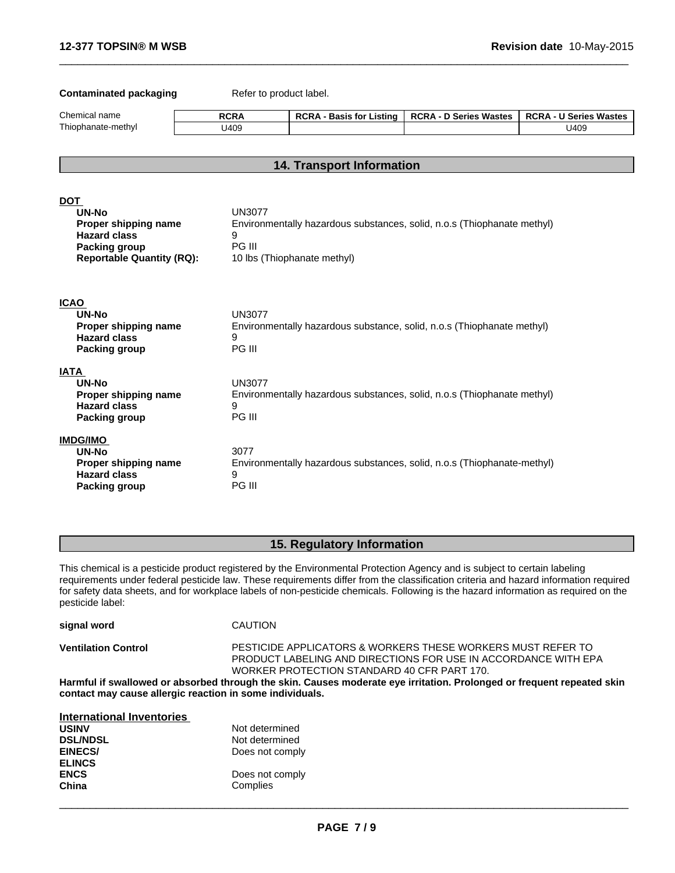| <b>Contaminated packaging</b>                                                        |                              | Refer to product label.                                                 |                               |                               |
|--------------------------------------------------------------------------------------|------------------------------|-------------------------------------------------------------------------|-------------------------------|-------------------------------|
| Chemical name                                                                        | <b>RCRA</b>                  | <b>RCRA - Basis for Listing</b>                                         | <b>RCRA - D Series Wastes</b> | <b>RCRA - U Series Wastes</b> |
| Thiophanate-methyl                                                                   | U409                         |                                                                         |                               | U409                          |
|                                                                                      |                              |                                                                         |                               |                               |
|                                                                                      |                              | 14. Transport Information                                               |                               |                               |
|                                                                                      |                              |                                                                         |                               |                               |
| <b>DOT</b><br>UN-No                                                                  | <b>UN3077</b>                |                                                                         |                               |                               |
| Proper shipping name                                                                 |                              | Environmentally hazardous substances, solid, n.o.s (Thiophanate methyl) |                               |                               |
| <b>Hazard class</b>                                                                  | 9                            |                                                                         |                               |                               |
| <b>Packing group</b>                                                                 | PG III                       |                                                                         |                               |                               |
| <b>Reportable Quantity (RQ):</b>                                                     |                              | 10 lbs (Thiophanate methyl)                                             |                               |                               |
| <b>ICAO</b><br>UN-No<br>Proper shipping name<br><b>Hazard class</b><br>Packing group | <b>UN3077</b><br>9<br>PG III | Environmentally hazardous substance, solid, n.o.s (Thiophanate methyl)  |                               |                               |
| <b>IATA</b>                                                                          |                              |                                                                         |                               |                               |
| <b>UN-No</b>                                                                         | <b>UN3077</b>                |                                                                         |                               |                               |
| Proper shipping name<br><b>Hazard class</b>                                          | 9                            | Environmentally hazardous substances, solid, n.o.s (Thiophanate methyl) |                               |                               |
| Packing group                                                                        | PG III                       |                                                                         |                               |                               |
| <b>IMDG/IMO</b>                                                                      |                              |                                                                         |                               |                               |
| <b>UN-No</b>                                                                         | 3077                         |                                                                         |                               |                               |
| Proper shipping name                                                                 |                              | Environmentally hazardous substances, solid, n.o.s (Thiophanate-methyl) |                               |                               |
| <b>Hazard class</b>                                                                  | 9                            |                                                                         |                               |                               |
| <b>Packing group</b>                                                                 | PG III                       |                                                                         |                               |                               |

 $\overline{\phantom{a}}$  ,  $\overline{\phantom{a}}$  ,  $\overline{\phantom{a}}$  ,  $\overline{\phantom{a}}$  ,  $\overline{\phantom{a}}$  ,  $\overline{\phantom{a}}$  ,  $\overline{\phantom{a}}$  ,  $\overline{\phantom{a}}$  ,  $\overline{\phantom{a}}$  ,  $\overline{\phantom{a}}$  ,  $\overline{\phantom{a}}$  ,  $\overline{\phantom{a}}$  ,  $\overline{\phantom{a}}$  ,  $\overline{\phantom{a}}$  ,  $\overline{\phantom{a}}$  ,  $\overline{\phantom{a}}$ 

# **15. Regulatory Information**

This chemical is a pesticide product registered by the Environmental Protection Agency and is subject to certain labeling requirements under federal pesticide law. These requirements differ from the classification criteria and hazard information required for safety data sheets, and for workplace labels of non-pesticide chemicals. Following is the hazard information as required on the pesticide label:

**signal word** CAUTION

**Ventilation Control** PESTICIDE APPLICATORS & WORKERS THESE WORKERS MUST REFER TO PRODUCT LABELING AND DIRECTIONS FOR USE IN ACCORDANCE WITH EPA WORKER PROTECTION STANDARD 40 CFR PART 170.

**Harmful if swallowed or absorbed through the skin. Causes moderate eye irritation. Prolonged or frequent repeated skin contact may cause allergic reaction in some individuals.**

| <b>International Inventories</b> |                 |  |  |
|----------------------------------|-----------------|--|--|
| <b>USINV</b>                     | Not determined  |  |  |
| <b>DSL/NDSL</b>                  | Not determined  |  |  |
| <b>EINECS/</b>                   | Does not comply |  |  |
| <b>ELINCS</b>                    |                 |  |  |
| <b>ENCS</b>                      | Does not comply |  |  |
| China                            | Complies        |  |  |
|                                  |                 |  |  |
|                                  |                 |  |  |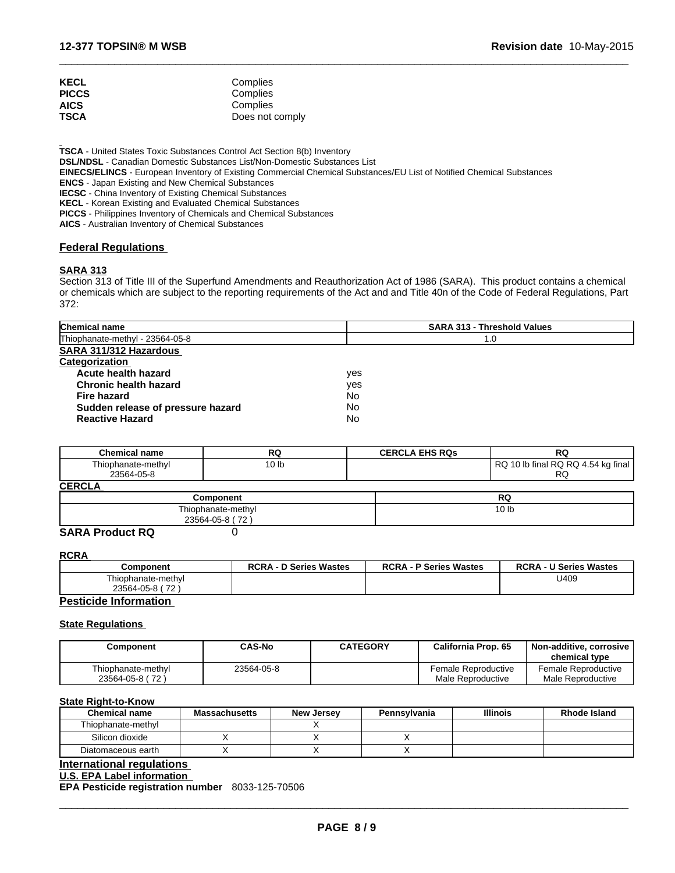| <b>KECL</b>  | Complies        |
|--------------|-----------------|
| <b>PICCS</b> | Complies        |
| <b>AICS</b>  | Complies        |
| <b>TSCA</b>  | Does not comply |

**TSCA** - United States Toxic Substances Control Act Section 8(b) Inventory **DSL/NDSL** - Canadian Domestic Substances List/Non-Domestic Substances List **EINECS/ELINCS** - European Inventory of Existing Commercial Chemical Substances/EU List of Notified Chemical Substances **ENCS** - Japan Existing and New Chemical Substances **IECSC** - China Inventory of Existing Chemical Substances **KECL** - Korean Existing and Evaluated Chemical Substances **PICCS** - Philippines Inventory of Chemicals and Chemical Substances **AICS** - Australian Inventory of Chemical Substances

## **Federal Regulations**

## **SARA 313**

Section 313 of Title III of the Superfund Amendments and Reauthorization Act of 1986 (SARA). This product contains a chemical or chemicals which are subject to the reporting requirements of the Act and and Title 40n of the Code of Federal Regulations, Part 372:

 $\overline{\phantom{a}}$  ,  $\overline{\phantom{a}}$  ,  $\overline{\phantom{a}}$  ,  $\overline{\phantom{a}}$  ,  $\overline{\phantom{a}}$  ,  $\overline{\phantom{a}}$  ,  $\overline{\phantom{a}}$  ,  $\overline{\phantom{a}}$  ,  $\overline{\phantom{a}}$  ,  $\overline{\phantom{a}}$  ,  $\overline{\phantom{a}}$  ,  $\overline{\phantom{a}}$  ,  $\overline{\phantom{a}}$  ,  $\overline{\phantom{a}}$  ,  $\overline{\phantom{a}}$  ,  $\overline{\phantom{a}}$ 

| <b>Chemical name</b>              | <b>SARA 313 - Threshold Values</b> |
|-----------------------------------|------------------------------------|
| Thiophanate-methyl - 23564-05-8   | 1.0                                |
| SARA 311/312 Hazardous            |                                    |
| Categorization                    |                                    |
| Acute health hazard               | ves                                |
| Chronic health hazard             | ves                                |
| Fire hazard                       | No                                 |
| Sudden release of pressure hazard | No                                 |
| <b>Reactive Hazard</b>            | No                                 |

| <b>Chemical name</b>             | RQ           | <b>CERCLA EHS RQs</b> | R                                                          |
|----------------------------------|--------------|-----------------------|------------------------------------------------------------|
| Thiophanate-methyl<br>23564-05-8 | ָ<br>I U I D |                       | ) 10 lb final RQ RQ 4.54 kg final<br><b>RQ</b><br>DC<br>いへ |
| <b>CERCLA</b>                    |              |                       |                                                            |

| --------<br><b>Component</b>                 | DC.<br>אי        |
|----------------------------------------------|------------------|
| Thiophanate-methyl                           | 10 <sub>lb</sub> |
| $\overline{z}$<br>-05-8 (<br>$23564 -$<br>-- |                  |
| ------<br>- - - - -<br>$\sim$                |                  |

# **SARA Product RQ** 0

#### **RCRA**

| Component                             | D Series Wastes<br>RCRA - D J | <b>RCRA - P Series Wastes</b> | <b>RCRA-</b><br><b>U Series Wastes</b> |
|---------------------------------------|-------------------------------|-------------------------------|----------------------------------------|
| Thiophanate-methyl<br>23564-05-8 (72) |                               |                               | U409                                   |
| Florent at the field annual times     |                               |                               |                                        |

# **Pesticide Information**

# **State Regulations**

| Component                             | <b>CAS-No</b> | <b>CATEGORY</b> | California Prop. 65                      | Mon-additive. corrosive<br>chemical type |
|---------------------------------------|---------------|-----------------|------------------------------------------|------------------------------------------|
| Thiophanate-methyl<br>23564-05-8 (72) | 23564-05-8    |                 | Female Reproductive<br>Male Reproductive | Female Reproductive<br>Male Reproductive |

#### **State Right-to-Know**

| <b>Chemical name</b> | <b>Massachusetts</b> | <b>New Jersey</b> | Pennsylvania | <b>Illinois</b> | Rhode Island |
|----------------------|----------------------|-------------------|--------------|-----------------|--------------|
| Thiophanate-methyl   |                      |                   |              |                 |              |
| Silicon dioxide      |                      |                   |              |                 |              |
| Diatomaceous earth   |                      |                   |              |                 |              |

# **International regulations**

**U.S. EPA Label information** 

**EPA Pesticide registration number** 8033-125-70506